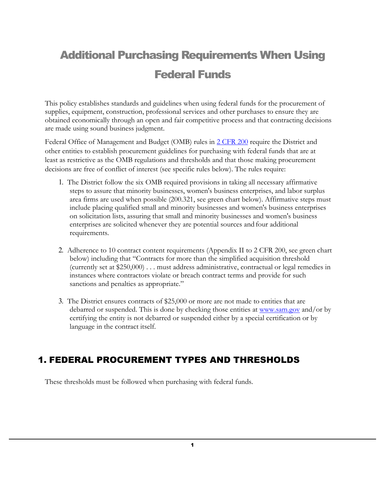# Additional Purchasing Requirements When Using Federal Funds

This policy establishes standards and guidelines when using federal funds for the procurement of supplies, equipment, construction, professional services and other purchases to ensure they are obtained economically through an open and fair competitive process and that contracting decisions are made using sound business judgment.

Federal Office of Management and Budget (OMB) rules in [2 CFR 200](https://www.fhwa.dot.gov/cfo/2cfr200guidance.cfm) require the District and other entities to establish procurement guidelines for purchasing with federal funds that are at least as restrictive as the OMB regulations and thresholds and that those making procurement decisions are free of conflict of interest (see specific rules below). The rules require:

- 1. The District follow the six OMB required provisions in taking all necessary affirmative steps to assure that minority businesses, women's business enterprises, and labor surplus area firms are used when possible (200.321, see green chart below). Affirmative steps must include placing qualified small and minority businesses and women's business enterprises on solicitation lists, assuring that small and minority businesses and women's business enterprises are solicited whenever they are potential sources and four additional requirements.
- 2. Adherence to 10 contract content requirements (Appendix II to 2 CFR 200, see green chart below) including that "Contracts for more than the simplified acquisition threshold (currently set at \$250,000) . . . must address administrative, contractual or legal remedies in instances where contractors violate or breach contract terms and provide for such sanctions and penalties as appropriate."
- 3. The District ensures contracts of \$25,000 or more are not made to entities that are debarred or suspended. This is done by checking those entities at  $\frac{www.sam.gov}$  $\frac{www.sam.gov}$  $\frac{www.sam.gov}$  and/or by certifying the entity is not debarred or suspended either by a special certification or by language in the contract itself.

## 1. FEDERAL PROCUREMENT TYPES AND THRESHOLDS

These thresholds must be followed when purchasing with federal funds.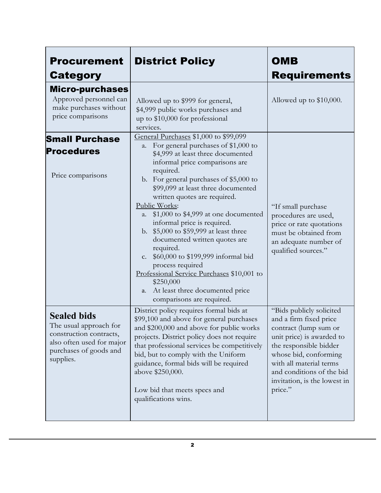| <b>Procurement</b><br><b>Category</b>                                                                                                       | <b>District Policy</b>                                                                                                                                                                                                                                                                                                                                                                                                                                                                                                                                                                                                                                                    | <b>OMB</b><br><b>Requirements</b>                                                                                                                                                                                                                              |
|---------------------------------------------------------------------------------------------------------------------------------------------|---------------------------------------------------------------------------------------------------------------------------------------------------------------------------------------------------------------------------------------------------------------------------------------------------------------------------------------------------------------------------------------------------------------------------------------------------------------------------------------------------------------------------------------------------------------------------------------------------------------------------------------------------------------------------|----------------------------------------------------------------------------------------------------------------------------------------------------------------------------------------------------------------------------------------------------------------|
| <b>Micro-purchases</b><br>Approved personnel can<br>make purchases without<br>price comparisons                                             | Allowed up to \$999 for general,<br>\$4,999 public works purchases and<br>up to \$10,000 for professional<br>services.                                                                                                                                                                                                                                                                                                                                                                                                                                                                                                                                                    | Allowed up to $$10,000$ .                                                                                                                                                                                                                                      |
| <b>Small Purchase</b><br><b>Procedures</b><br>Price comparisons                                                                             | General Purchases \$1,000 to \$99,099<br>a. For general purchases of \$1,000 to<br>\$4,999 at least three documented<br>informal price comparisons are<br>required.<br>b. For general purchases of \$5,000 to<br>\$99,099 at least three documented<br>written quotes are required.<br>Public Works:<br>\$1,000 to \$4,999 at one documented<br>a.<br>informal price is required.<br>b. \$5,000 to \$59,999 at least three<br>documented written quotes are<br>required.<br>\$60,000 to \$199,999 informal bid<br>c.<br>process required<br>Professional Service Purchases \$10,001 to<br>\$250,000<br>At least three documented price<br>a.<br>comparisons are required. | "If small purchase<br>procedures are used,<br>price or rate quotations<br>must be obtained from<br>an adequate number of<br>qualified sources."                                                                                                                |
| <b>Sealed bids</b><br>The usual approach for<br>construction contracts,<br>also often used for major<br>purchases of goods and<br>supplies. | District policy requires formal bids at<br>\$99,100 and above for general purchases<br>and \$200,000 and above for public works<br>projects. District policy does not require<br>that professional services be competitively<br>bid, but to comply with the Uniform<br>guidance, formal bids will be required<br>above \$250,000.<br>Low bid that meets specs and<br>qualifications wins.                                                                                                                                                                                                                                                                                 | "Bids publicly solicited<br>and a firm fixed price<br>contract (lump sum or<br>unit price) is awarded to<br>the responsible bidder<br>whose bid, conforming<br>with all material terms<br>and conditions of the bid<br>invitation, is the lowest in<br>price." |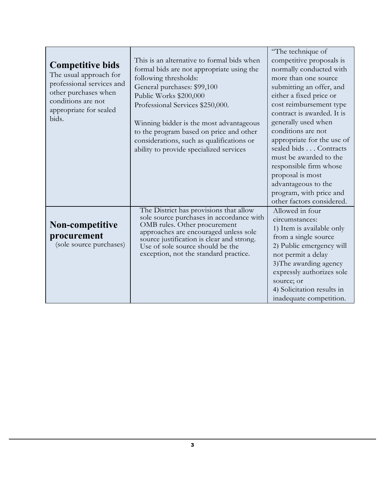| <b>Competitive bids</b><br>The usual approach for<br>professional services and<br>other purchases when<br>conditions are not<br>appropriate for sealed<br>bids. | This is an alternative to formal bids when<br>formal bids are not appropriate using the<br>following thresholds:<br>General purchases: \$99,100<br>Public Works \$200,000<br>Professional Services \$250,000.<br>Winning bidder is the most advantageous<br>to the program based on price and other<br>considerations, such as qualifications or<br>ability to provide specialized services | "The technique of<br>competitive proposals is<br>normally conducted with<br>more than one source<br>submitting an offer, and<br>either a fixed price or<br>cost reimbursement type<br>contract is awarded. It is<br>generally used when<br>conditions are not<br>appropriate for the use of<br>sealed bids Contracts<br>must be awarded to the<br>responsible firm whose<br>proposal is most<br>advantageous to the<br>program, with price and<br>other factors considered. |
|-----------------------------------------------------------------------------------------------------------------------------------------------------------------|---------------------------------------------------------------------------------------------------------------------------------------------------------------------------------------------------------------------------------------------------------------------------------------------------------------------------------------------------------------------------------------------|-----------------------------------------------------------------------------------------------------------------------------------------------------------------------------------------------------------------------------------------------------------------------------------------------------------------------------------------------------------------------------------------------------------------------------------------------------------------------------|
| <b>Non-competitive</b><br>procurement<br>(sole source purchases)                                                                                                | The District has provisions that allow<br>sole source purchases in accordance with<br>OMB rules. Other procurement<br>approaches are encouraged unless sole<br>source justification is clear and strong.<br>Use of sole source should be the<br>exception, not the standard practice.                                                                                                       | Allowed in four<br>circumstances:<br>1) Item is available only<br>from a single source<br>2) Public emergency will<br>not permit a delay<br>3) The awarding agency<br>expressly authorizes sole<br>source; or<br>4) Solicitation results in<br>inadequate competition.                                                                                                                                                                                                      |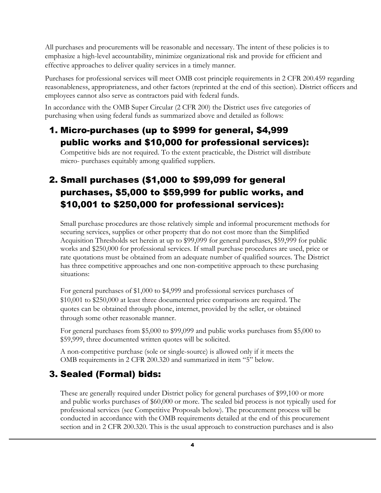All purchases and procurements will be reasonable and necessary. The intent of these policies is to emphasize a high-level accountability, minimize organizational risk and provide for efficient and effective approaches to deliver quality services in a timely manner.

Purchases for professional services will meet OMB cost principle requirements in 2 CFR 200.459 regarding reasonableness, appropriateness, and other factors (reprinted at the end of this section). District officers and employees cannot also serve as contractors paid with federal funds.

In accordance with the OMB Super Circular (2 CFR 200) the District uses five categories of purchasing when using federal funds as summarized above and detailed as follows:

## 1. Micro-purchases (up to \$999 for general, \$4,999 public works and \$10,000 for professional services):

Competitive bids are not required. To the extent practicable, the District will distribute micro- purchases equitably among qualified suppliers.

# 2. Small purchases (\$1,000 to \$99,099 for general purchases, \$5,000 to \$59,999 for public works, and \$10,001 to \$250,000 for professional services):

Small purchase procedures are those relatively simple and informal procurement methods for securing services, supplies or other property that do not cost more than the Simplified Acquisition Thresholds set herein at up to \$99,099 for general purchases, \$59,999 for public works and \$250,000 for professional services. If small purchase procedures are used, price or rate quotations must be obtained from an adequate number of qualified sources. The District has three competitive approaches and one non-competitive approach to these purchasing situations:

For general purchases of \$1,000 to \$4,999 and professional services purchases of \$10,001 to \$250,000 at least three documented price comparisons are required. The quotes can be obtained through phone, internet, provided by the seller, or obtained through some other reasonable manner.

For general purchases from \$5,000 to \$99,099 and public works purchases from \$5,000 to \$59,999, three documented written quotes will be solicited.

A non-competitive purchase (sole or single-source) is allowed only if it meets the OMB requirements in 2 CFR 200.320 and summarized in item "5" below.

# 3. Sealed (Formal) bids:

These are generally required under District policy for general purchases of \$99,100 or more and public works purchases of \$60,000 or more. The sealed bid process is not typically used for professional services (see Competitive Proposals below). The procurement process will be conducted in accordance with the OMB requirements detailed at the end of this procurement section and in 2 CFR 200.320. This is the usual approach to construction purchases and is also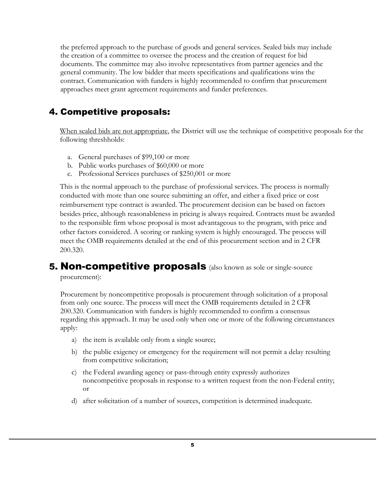the preferred approach to the purchase of goods and general services. Sealed bids may include the creation of a committee to oversee the process and the creation of request for bid documents. The committee may also involve representatives from partner agencies and the general community. The low bidder that meets specifications and qualifications wins the contract. Communication with funders is highly recommended to confirm that procurement approaches meet grant agreement requirements and funder preferences.

## 4. Competitive proposals:

When sealed bids are not appropriate, the District will use the technique of competitive proposals for the following threshholds:

- a. General purchases of \$99,100 or more
- b. Public works purchases of \$60,000 or more
- c. Professional Services purchases of \$250,001 or more

This is the normal approach to the purchase of professional services. The process is normally conducted with more than one source submitting an offer, and either a fixed price or cost reimbursement type contract is awarded. The procurement decision can be based on factors besides price, although reasonableness in pricing is always required. Contracts must be awarded to the responsible firm whose proposal is most advantageous to the program, with price and other factors considered. A scoring or ranking system is highly encouraged. The process will meet the OMB requirements detailed at the end of this procurement section and in 2 CFR 200.320.

# **5. Non-competitive proposals** (also known as sole or single-source

procurement):

Procurement by noncompetitive proposals is procurement through solicitation of a proposal from only one source. The process will meet the OMB requirements detailed in 2 CFR 200.320. Communication with funders is highly recommended to confirm a consensus regarding this approach. It may be used only when one or more of the following circumstances apply:

- a) the item is available only from a single source;
- b) the public exigency or emergency for the requirement will not permit a delay resulting from competitive solicitation;
- c) the Federal awarding agency or pass-through entity expressly authorizes noncompetitive proposals in response to a written request from the non-Federal entity; or
- d) after solicitation of a number of sources, competition is determined inadequate.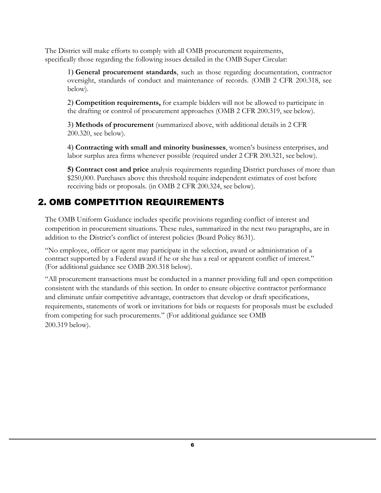The District will make efforts to comply with all OMB procurement requirements, specifically those regarding the following issues detailed in the OMB Super Circular:

1) **General procurement standards**, such as those regarding documentation, contractor oversight, standards of conduct and maintenance of records. (OMB 2 CFR 200.318, see below).

2) **Competition requirements,** for example bidders will not be allowed to participate in the drafting or control of procurement approaches (OMB 2 CFR 200.319, see below).

3) **Methods of procurement** (summarized above, with additional details in 2 CFR 200.320, see below).

4) **Contracting with small and minority businesses**, women's business enterprises, and labor surplus area firms whenever possible (required under 2 CFR 200.321, see below).

**5) Contract cost and price** analysis requirements regarding District purchases of more than \$250,000. Purchases above this threshold require independent estimates of cost before receiving bids or proposals. (in OMB 2 CFR 200.324, see below).

## 2. OMB COMPETITION REQUIREMENTS

The OMB Uniform Guidance includes specific provisions regarding conflict of interest and competition in procurement situations. These rules, summarized in the next two paragraphs, are in addition to the District's conflict of interest policies (Board Policy 8631).

"No employee, officer or agent may participate in the selection, award or administration of a contract supported by a Federal award if he or she has a real or apparent conflict of interest." (For additional guidance see OMB 200.318 below).

"All procurement transactions must be conducted in a manner providing full and open competition consistent with the standards of this section. In order to ensure objective contractor performance and eliminate unfair competitive advantage, contractors that develop or draft specifications, requirements, statements of work or invitations for bids or requests for proposals must be excluded from competing for such procurements." (For additional guidance see OMB 200.319 below).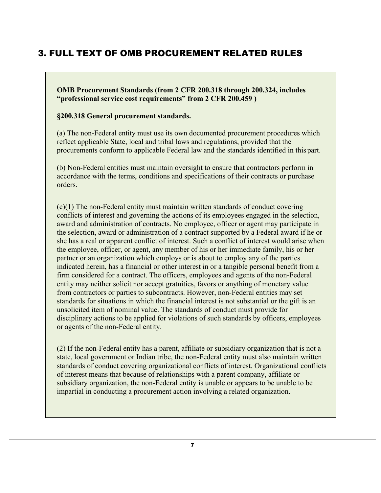## 3. FULL TEXT OF OMB PROCUREMENT RELATED RULES

**OMB Procurement Standards (from 2 CFR 200.318 through 200.324, includes "professional service cost requirements" from 2 CFR 200.459 )**

#### **§200.318 General procurement standards.**

(a) The non-Federal entity must use its own documented procurement procedures which reflect applicable State, local and tribal laws and regulations, provided that the procurements conform to applicable Federal law and the standards identified in this part.

(b) Non-Federal entities must maintain oversight to ensure that contractors perform in accordance with the terms, conditions and specifications of their contracts or purchase orders.

(c)(1) The non-Federal entity must maintain written standards of conduct covering conflicts of interest and governing the actions of its employees engaged in the selection, award and administration of contracts. No employee, officer or agent may participate in the selection, award or administration of a contract supported by a Federal award if he or she has a real or apparent conflict of interest. Such a conflict of interest would arise when the employee, officer, or agent, any member of his or her immediate family, his or her partner or an organization which employs or is about to employ any of the parties indicated herein, has a financial or other interest in or a tangible personal benefit from a firm considered for a contract. The officers, employees and agents of the non-Federal entity may neither solicit nor accept gratuities, favors or anything of monetary value from contractors or parties to subcontracts. However, non-Federal entities may set standards for situations in which the financial interest is not substantial or the gift is an unsolicited item of nominal value. The standards of conduct must provide for disciplinary actions to be applied for violations of such standards by officers, employees or agents of the non-Federal entity.

(2) If the non-Federal entity has a parent, affiliate or subsidiary organization that is not a state, local government or Indian tribe, the non-Federal entity must also maintain written standards of conduct covering organizational conflicts of interest. Organizational conflicts of interest means that because of relationships with a parent company, affiliate or subsidiary organization, the non-Federal entity is unable or appears to be unable to be impartial in conducting a procurement action involving a related organization.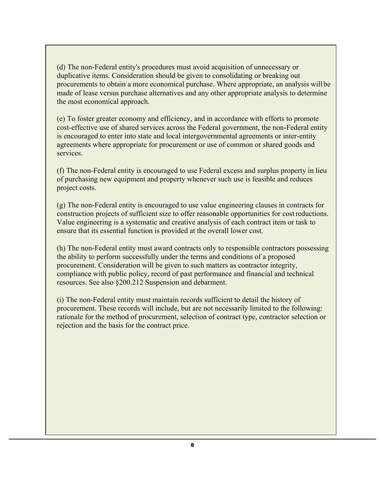(d) The non-Federal entity's procedures must avoid acquisition of unnecessary or duplicative items. Consideration should be given to consolidating or breaking out procurements to obtain a more economical purchase. Where appropriate, an analysis will be made of lease versus purchase alternatives and any other appropriate analysis to determine the most economical approach.

(e) To foster greater economy and efficiency, and in accordance with efforts to promote cost-effective use of shared services across the Federal government, the non-Federal entity is encouraged to enter into state and local intergovernmental agreements or inter-entity agreements where appropriate for procurement or use of common or shared goods and services.

(f) The non-Federal entity is encouraged to use Federal excess and surplus property in lieu of purchasing new equipment and property whenever such use is feasible and reduces project costs.

(g) The non-Federal entity is encouraged to use value engineering clauses in contracts for construction projects of sufficient size to offer reasonable opportunities for costreductions. Value engineering is a systematic and creative analysis of each contract item or task to ensure that its essential function is provided at the overall lower cost.

(h) The non-Federal entity must award contracts only to responsible contractors possessing the ability to perform successfully under the terms and conditions of a proposed procurement. Consideration will be given to such matters as contractor integrity, compliance with public policy, record of past performance and financial and technical resources. See also §200.212 Suspension and debarment.

(i) The non-Federal entity must maintain records sufficient to detail the history of procurement. These records will include, but are not necessarily limited to the following: rationale for the method of procurement, selection of contract type, contractor selection or rejection and the basis for the contract price.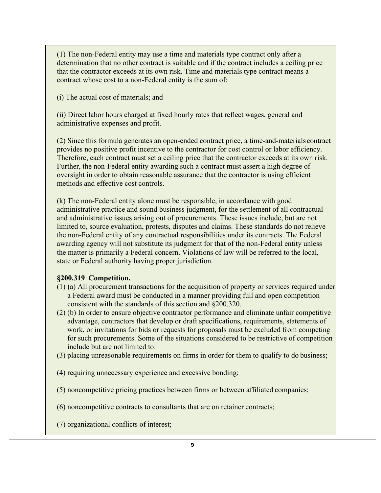(1) The non-Federal entity may use a time and materials type contract only after a determination that no other contract is suitable and if the contract includes a ceiling price that the contractor exceeds at its own risk. Time and materials type contract means a contract whose cost to a non-Federal entity is the sum of:

(i) The actual cost of materials; and

(ii) Direct labor hours charged at fixed hourly rates that reflect wages, general and administrative expenses and profit.

(2) Since this formula generates an open-ended contract price, a time-and-materials contract provides no positive profit incentive to the contractor for cost control or labor efficiency. Therefore, each contract must set a ceiling price that the contractor exceeds at its own risk. Further, the non-Federal entity awarding such a contract must assert a high degree of oversight in order to obtain reasonable assurance that the contractor is using efficient methods and effective cost controls.

(k) The non-Federal entity alone must be responsible, in accordance with good administrative practice and sound business judgment, for the settlement of all contractual and administrative issues arising out of procurements. These issues include, but are not limited to, source evaluation, protests, disputes and claims. These standards do not relieve the non-Federal entity of any contractual responsibilities under its contracts. The Federal awarding agency will not substitute its judgment for that of the non-Federal entity unless the matter is primarily a Federal concern. Violations of law will be referred to the local, state or Federal authority having proper jurisdiction.

#### **§200.319 Competition.**

- (1) **(**a) All procurement transactions for the acquisition of property or services required under a Federal award must be conducted in a manner providing full and open competition consistent with the standards of this section and §200.320.
- (2) (b) In order to ensure objective contractor performance and eliminate unfair competitive advantage, contractors that develop or draft specifications, requirements, statements of work, or invitations for bids or requests for proposals must be excluded from competing for such procurements. Some of the situations considered to be restrictive of competition include but are not limited to:
- (3) placing unreasonable requirements on firms in order for them to qualify to do business;
- (4) requiring unnecessary experience and excessive bonding;
- (5) noncompetitive pricing practices between firms or between affiliated companies;
- (6) noncompetitive contracts to consultants that are on retainer contracts;
- (7) organizational conflicts of interest;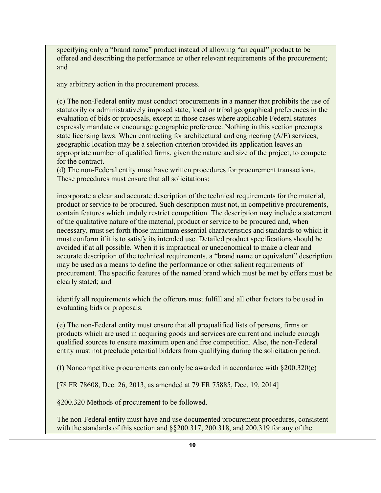specifying only a "brand name" product instead of allowing "an equal" product to be offered and describing the performance or other relevant requirements of the procurement; and

any arbitrary action in the procurement process.

(c) The non-Federal entity must conduct procurements in a manner that prohibits the use of statutorily or administratively imposed state, local or tribal geographical preferences in the evaluation of bids or proposals, except in those cases where applicable Federal statutes expressly mandate or encourage geographic preference. Nothing in this section preempts state licensing laws. When contracting for architectural and engineering (A/E) services, geographic location may be a selection criterion provided its application leaves an appropriate number of qualified firms, given the nature and size of the project, to compete for the contract.

(d) The non-Federal entity must have written procedures for procurement transactions. These procedures must ensure that all solicitations:

incorporate a clear and accurate description of the technical requirements for the material, product or service to be procured. Such description must not, in competitive procurements, contain features which unduly restrict competition. The description may include a statement of the qualitative nature of the material, product or service to be procured and, when necessary, must set forth those minimum essential characteristics and standards to which it must conform if it is to satisfy its intended use. Detailed product specifications should be avoided if at all possible. When it is impractical or uneconomical to make a clear and accurate description of the technical requirements, a "brand name or equivalent" description may be used as a means to define the performance or other salient requirements of procurement. The specific features of the named brand which must be met by offers must be clearly stated; and

identify all requirements which the offerors must fulfill and all other factors to be used in evaluating bids or proposals.

(e) The non-Federal entity must ensure that all prequalified lists of persons, firms or products which are used in acquiring goods and services are current and include enough qualified sources to ensure maximum open and free competition. Also, the non-Federal entity must not preclude potential bidders from qualifying during the solicitation period.

(f) Noncompetitive procurements can only be awarded in accordance with §200.320(c)

[78 FR 78608, Dec. 26, 2013, as amended at 79 FR 75885, Dec. 19, 2014]

§200.320 Methods of procurement to be followed.

The non-Federal entity must have and use documented procurement procedures, consistent with the standards of this section and §§200.317, 200.318, and 200.319 for any of the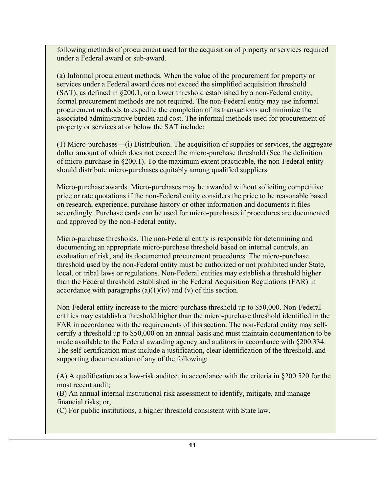following methods of procurement used for the acquisition of property or services required under a Federal award or sub-award.

(a) Informal procurement methods. When the value of the procurement for property or services under a Federal award does not exceed the simplified acquisition threshold (SAT), as defined in §200.1, or a lower threshold established by a non-Federal entity, formal procurement methods are not required. The non-Federal entity may use informal procurement methods to expedite the completion of its transactions and minimize the associated administrative burden and cost. The informal methods used for procurement of property or services at or below the SAT include:

(1) Micro-purchases—(i) Distribution. The acquisition of supplies or services, the aggregate dollar amount of which does not exceed the micro-purchase threshold (See the definition of micro-purchase in §200.1). To the maximum extent practicable, the non-Federal entity should distribute micro-purchases equitably among qualified suppliers.

Micro-purchase awards. Micro-purchases may be awarded without soliciting competitive price or rate quotations if the non-Federal entity considers the price to be reasonable based on research, experience, purchase history or other information and documents it files accordingly. Purchase cards can be used for micro-purchases if procedures are documented and approved by the non-Federal entity.

Micro-purchase thresholds. The non-Federal entity is responsible for determining and documenting an appropriate micro-purchase threshold based on internal controls, an evaluation of risk, and its documented procurement procedures. The micro-purchase threshold used by the non-Federal entity must be authorized or not prohibited under State, local, or tribal laws or regulations. Non-Federal entities may establish a threshold higher than the Federal threshold established in the Federal Acquisition Regulations (FAR) in accordance with paragraphs  $(a)(1)(iv)$  and  $(v)$  of this section.

Non-Federal entity increase to the micro-purchase threshold up to \$50,000. Non-Federal entities may establish a threshold higher than the micro-purchase threshold identified in the FAR in accordance with the requirements of this section. The non-Federal entity may selfcertify a threshold up to \$50,000 on an annual basis and must maintain documentation to be made available to the Federal awarding agency and auditors in accordance with §200.334. The self-certification must include a justification, clear identification of the threshold, and supporting documentation of any of the following:

(A) A qualification as a low-risk auditee, in accordance with the criteria in §200.520 for the most recent audit;

(B) An annual internal institutional risk assessment to identify, mitigate, and manage financial risks; or,

(C) For public institutions, a higher threshold consistent with State law.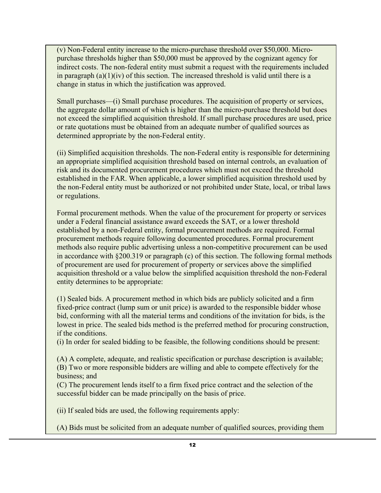(v) Non-Federal entity increase to the micro-purchase threshold over \$50,000. Micropurchase thresholds higher than \$50,000 must be approved by the cognizant agency for indirect costs. The non-federal entity must submit a request with the requirements included in paragraph  $(a)(1)(iv)$  of this section. The increased threshold is valid until there is a change in status in which the justification was approved.

Small purchases—(i) Small purchase procedures. The acquisition of property or services, the aggregate dollar amount of which is higher than the micro-purchase threshold but does not exceed the simplified acquisition threshold. If small purchase procedures are used, price or rate quotations must be obtained from an adequate number of qualified sources as determined appropriate by the non-Federal entity.

(ii) Simplified acquisition thresholds. The non-Federal entity is responsible for determining an appropriate simplified acquisition threshold based on internal controls, an evaluation of risk and its documented procurement procedures which must not exceed the threshold established in the FAR. When applicable, a lower simplified acquisition threshold used by the non-Federal entity must be authorized or not prohibited under State, local, or tribal laws or regulations.

Formal procurement methods. When the value of the procurement for property or services under a Federal financial assistance award exceeds the SAT, or a lower threshold established by a non-Federal entity, formal procurement methods are required. Formal procurement methods require following documented procedures. Formal procurement methods also require public advertising unless a non-competitive procurement can be used in accordance with §200.319 or paragraph (c) of this section. The following formal methods of procurement are used for procurement of property or services above the simplified acquisition threshold or a value below the simplified acquisition threshold the non-Federal entity determines to be appropriate:

(1) Sealed bids. A procurement method in which bids are publicly solicited and a firm fixed-price contract (lump sum or unit price) is awarded to the responsible bidder whose bid, conforming with all the material terms and conditions of the invitation for bids, is the lowest in price. The sealed bids method is the preferred method for procuring construction, if the conditions.

(i) In order for sealed bidding to be feasible, the following conditions should be present:

(A) A complete, adequate, and realistic specification or purchase description is available; (B) Two or more responsible bidders are willing and able to compete effectively for the business; and

(C) The procurement lends itself to a firm fixed price contract and the selection of the successful bidder can be made principally on the basis of price.

(ii) If sealed bids are used, the following requirements apply:

(A) Bids must be solicited from an adequate number of qualified sources, providing them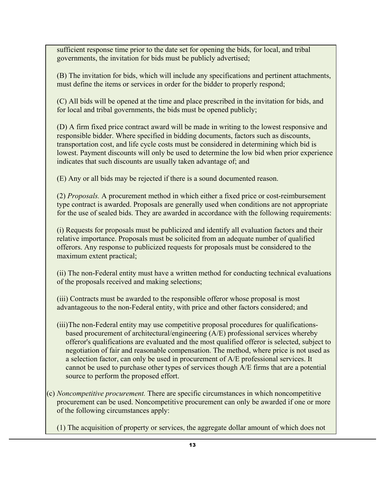sufficient response time prior to the date set for opening the bids, for local, and tribal governments, the invitation for bids must be publicly advertised;

(B) The invitation for bids, which will include any specifications and pertinent attachments, must define the items or services in order for the bidder to properly respond;

(C) All bids will be opened at the time and place prescribed in the invitation for bids, and for local and tribal governments, the bids must be opened publicly;

(D) A firm fixed price contract award will be made in writing to the lowest responsive and responsible bidder. Where specified in bidding documents, factors such as discounts, transportation cost, and life cycle costs must be considered in determining which bid is lowest. Payment discounts will only be used to determine the low bid when prior experience indicates that such discounts are usually taken advantage of; and

(E) Any or all bids may be rejected if there is a sound documented reason.

(2) *Proposals.* A procurement method in which either a fixed price or cost-reimbursement type contract is awarded. Proposals are generally used when conditions are not appropriate for the use of sealed bids. They are awarded in accordance with the following requirements:

(i) Requests for proposals must be publicized and identify all evaluation factors and their relative importance. Proposals must be solicited from an adequate number of qualified offerors. Any response to publicized requests for proposals must be considered to the maximum extent practical;

(ii) The non-Federal entity must have a written method for conducting technical evaluations of the proposals received and making selections;

(iii) Contracts must be awarded to the responsible offeror whose proposal is most advantageous to the non-Federal entity, with price and other factors considered; and

- (iii)The non-Federal entity may use competitive proposal procedures for qualificationsbased procurement of architectural/engineering (A/E) professional services whereby offeror's qualifications are evaluated and the most qualified offeror is selected, subject to negotiation of fair and reasonable compensation. The method, where price is not used as a selection factor, can only be used in procurement of A/E professional services. It cannot be used to purchase other types of services though A/E firms that are a potential source to perform the proposed effort.
- (c) *Noncompetitive procurement.* There are specific circumstances in which noncompetitive procurement can be used. Noncompetitive procurement can only be awarded if one or more of the following circumstances apply:

(1) The acquisition of property or services, the aggregate dollar amount of which does not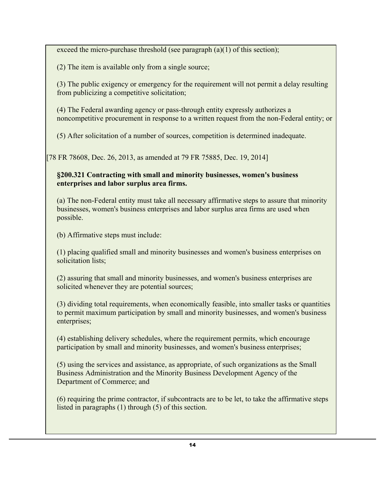exceed the micro-purchase threshold (see paragraph (a)(1) of this section);

(2) The item is available only from a single source;

(3) The public exigency or emergency for the requirement will not permit a delay resulting from publicizing a competitive solicitation;

(4) The Federal awarding agency or pass-through entity expressly authorizes a noncompetitive procurement in response to a written request from the non-Federal entity; or

(5) After solicitation of a number of sources, competition is determined inadequate.

[78 FR 78608, Dec. 26, 2013, as amended at 79 FR 75885, Dec. 19, 2014]

## **§200.321 Contracting with small and minority businesses, women's business enterprises and labor surplus area firms.**

(a) The non-Federal entity must take all necessary affirmative steps to assure that minority businesses, women's business enterprises and labor surplus area firms are used when possible.

(b) Affirmative steps must include:

(1) placing qualified small and minority businesses and women's business enterprises on solicitation lists;

(2) assuring that small and minority businesses, and women's business enterprises are solicited whenever they are potential sources;

(3) dividing total requirements, when economically feasible, into smaller tasks or quantities to permit maximum participation by small and minority businesses, and women's business enterprises;

(4) establishing delivery schedules, where the requirement permits, which encourage participation by small and minority businesses, and women's business enterprises;

(5) using the services and assistance, as appropriate, of such organizations as the Small Business Administration and the Minority Business Development Agency of the Department of Commerce; and

(6) requiring the prime contractor, if subcontracts are to be let, to take the affirmative steps listed in paragraphs (1) through (5) of this section.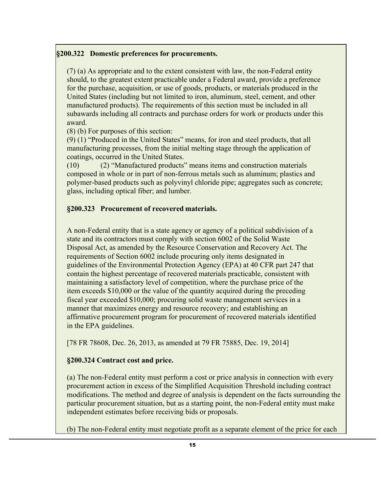#### **§200.322 Domestic preferences for procurements.**

(7) (a) As appropriate and to the extent consistent with law, the non-Federal entity should, to the greatest extent practicable under a Federal award, provide a preference for the purchase, acquisition, or use of goods, products, or materials produced in the United States (including but not limited to iron, aluminum, steel, cement, and other manufactured products). The requirements of this section must be included in all subawards including all contracts and purchase orders for work or products under this award.

(8) (b) For purposes of this section:

(9) (1) "Produced in the United States" means, for iron and steel products, that all manufacturing processes, from the initial melting stage through the application of coatings, occurred in the United States.

(10) (2) "Manufactured products" means items and construction materials composed in whole or in part of non-ferrous metals such as aluminum; plastics and polymer-based products such as polyvinyl chloride pipe; aggregates such as concrete; glass, including optical fiber; and lumber.

#### **§200.323 Procurement of recovered materials.**

A non-Federal entity that is a state agency or agency of a political subdivision of a state and its contractors must comply with section 6002 of the Solid Waste Disposal Act, as amended by the Resource Conservation and Recovery Act. The requirements of Section 6002 include procuring only items designated in guidelines of the Environmental Protection Agency (EPA) at 40 CFR part 247 that contain the highest percentage of recovered materials practicable, consistent with maintaining a satisfactory level of competition, where the purchase price of the item exceeds \$10,000 or the value of the quantity acquired during the preceding fiscal year exceeded \$10,000; procuring solid waste management services in a manner that maximizes energy and resource recovery; and establishing an affirmative procurement program for procurement of recovered materials identified in the EPA guidelines.

[78 FR 78608, Dec. 26, 2013, as amended at 79 FR 75885, Dec. 19, 2014]

#### **§200.324 Contract cost and price.**

(a) The non-Federal entity must perform a cost or price analysis in connection with every procurement action in excess of the Simplified Acquisition Threshold including contract modifications. The method and degree of analysis is dependent on the facts surrounding the particular procurement situation, but as a starting point, the non-Federal entity must make independent estimates before receiving bids or proposals.

(b) The non-Federal entity must negotiate profit as a separate element of the price for each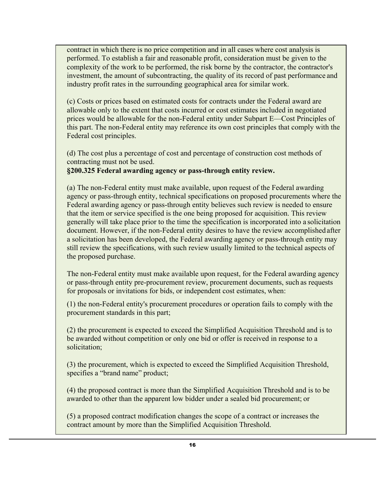contract in which there is no price competition and in all cases where cost analysis is performed. To establish a fair and reasonable profit, consideration must be given to the complexity of the work to be performed, the risk borne by the contractor, the contractor's investment, the amount of subcontracting, the quality of its record of past performance and industry profit rates in the surrounding geographical area for similar work.

(c) Costs or prices based on estimated costs for contracts under the Federal award are allowable only to the extent that costs incurred or cost estimates included in negotiated prices would be allowable for the non-Federal entity under Subpart E—Cost Principles of this part. The non-Federal entity may reference its own cost principles that comply with the Federal cost principles.

(d) The cost plus a percentage of cost and percentage of construction cost methods of contracting must not be used. **§200.325 Federal awarding agency or pass-through entity review.**

(a) The non-Federal entity must make available, upon request of the Federal awarding agency or pass-through entity, technical specifications on proposed procurements where the Federal awarding agency or pass-through entity believes such review is needed to ensure that the item or service specified is the one being proposed for acquisition. This review generally will take place prior to the time the specification is incorporated into a solicitation document. However, if the non-Federal entity desires to have the review accomplished after a solicitation has been developed, the Federal awarding agency or pass-through entity may still review the specifications, with such review usually limited to the technical aspects of the proposed purchase.

The non-Federal entity must make available upon request, for the Federal awarding agency or pass-through entity pre-procurement review, procurement documents, such as requests for proposals or invitations for bids, or independent cost estimates, when:

(1) the non-Federal entity's procurement procedures or operation fails to comply with the procurement standards in this part;

(2) the procurement is expected to exceed the Simplified Acquisition Threshold and is to be awarded without competition or only one bid or offer is received in response to a solicitation;

(3) the procurement, which is expected to exceed the Simplified Acquisition Threshold, specifies a "brand name" product;

(4) the proposed contract is more than the Simplified Acquisition Threshold and is to be awarded to other than the apparent low bidder under a sealed bid procurement; or

(5) a proposed contract modification changes the scope of a contract or increases the contract amount by more than the Simplified Acquisition Threshold.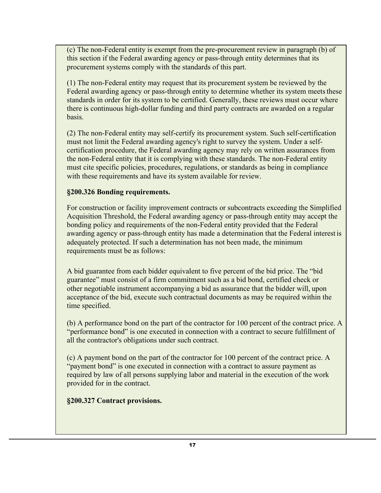(c) The non-Federal entity is exempt from the pre-procurement review in paragraph (b) of this section if the Federal awarding agency or pass-through entity determines that its procurement systems comply with the standards of this part.

(1) The non-Federal entity may request that its procurement system be reviewed by the Federal awarding agency or pass-through entity to determine whether its system meets these standards in order for its system to be certified. Generally, these reviews must occur where there is continuous high-dollar funding and third party contracts are awarded on a regular basis.

(2) The non-Federal entity may self-certify its procurement system. Such self-certification must not limit the Federal awarding agency's right to survey the system. Under a selfcertification procedure, the Federal awarding agency may rely on written assurances from the non-Federal entity that it is complying with these standards. The non-Federal entity must cite specific policies, procedures, regulations, or standards as being in compliance with these requirements and have its system available for review.

## **§200.326 Bonding requirements.**

For construction or facility improvement contracts or subcontracts exceeding the Simplified Acquisition Threshold, the Federal awarding agency or pass-through entity may accept the bonding policy and requirements of the non-Federal entity provided that the Federal awarding agency or pass-through entity has made a determination that the Federal interest is adequately protected. If such a determination has not been made, the minimum requirements must be as follows:

A bid guarantee from each bidder equivalent to five percent of the bid price. The "bid guarantee" must consist of a firm commitment such as a bid bond, certified check or other negotiable instrument accompanying a bid as assurance that the bidder will, upon acceptance of the bid, execute such contractual documents as may be required within the time specified.

(b) A performance bond on the part of the contractor for 100 percent of the contract price. A "performance bond" is one executed in connection with a contract to secure fulfillment of all the contractor's obligations under such contract.

(c) A payment bond on the part of the contractor for 100 percent of the contract price. A "payment bond" is one executed in connection with a contract to assure payment as required by law of all persons supplying labor and material in the execution of the work provided for in the contract.

**§200.327 Contract provisions.**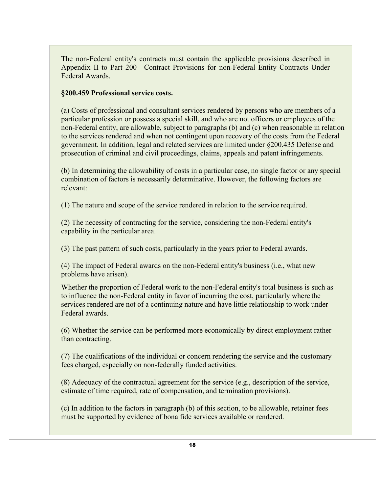The non-Federal entity's contracts must contain the applicable provisions described in Appendix II to Part 200—Contract Provisions for non-Federal Entity Contracts Under Federal Awards.

### **§200.459 Professional service costs.**

(a) Costs of professional and consultant services rendered by persons who are members of a particular profession or possess a special skill, and who are not officers or employees of the non-Federal entity, are allowable, subject to paragraphs (b) and (c) when reasonable in relation to the services rendered and when not contingent upon recovery of the costs from the Federal government. In addition, legal and related services are limited under §200.435 Defense and prosecution of criminal and civil proceedings, claims, appeals and patent infringements.

(b) In determining the allowability of costs in a particular case, no single factor or any special combination of factors is necessarily determinative. However, the following factors are relevant:

(1) The nature and scope of the service rendered in relation to the service required.

(2) The necessity of contracting for the service, considering the non-Federal entity's capability in the particular area.

(3) The past pattern of such costs, particularly in the years prior to Federal awards.

(4) The impact of Federal awards on the non-Federal entity's business (i.e., what new problems have arisen).

Whether the proportion of Federal work to the non-Federal entity's total business is such as to influence the non-Federal entity in favor of incurring the cost, particularly where the services rendered are not of a continuing nature and have little relationship to work under Federal awards.

(6) Whether the service can be performed more economically by direct employment rather than contracting.

(7) The qualifications of the individual or concern rendering the service and the customary fees charged, especially on non-federally funded activities.

(8) Adequacy of the contractual agreement for the service (e.g., description of the service, estimate of time required, rate of compensation, and termination provisions).

(c) In addition to the factors in paragraph (b) of this section, to be allowable, retainer fees must be supported by evidence of bona fide services available or rendered.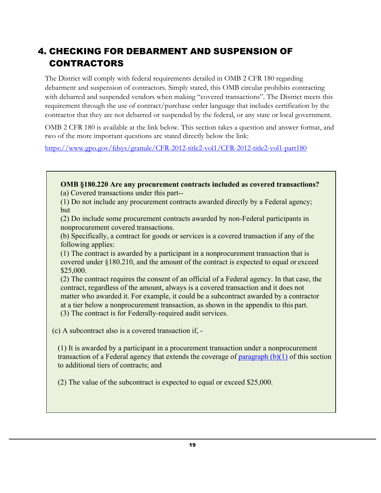# 4. CHECKING FOR DEBARMENT AND SUSPENSION OF CONTRACTORS

The District will comply with federal requirements detailed in OMB 2 CFR 180 regarding debarment and suspension of contractors. Simply stated, this OMB circular prohibits contracting with debarred and suspended vendors when making "covered transactions". The District meets this requirement through the use of contract/purchase order language that includes certification by the contractor that they are not debarred or suspended by the federal, or any state or local government.

OMB 2 CFR 180 is available at the link below. This section takes a question and answer format, and two of the more important questions are stated directly below the link:

https:/[/www.gpo.gov/fdsys/granule/CFR-2012-title2-vol1/CFR-2012-title2-vol1-part180](http://www.gpo.gov/fdsys/granule/CFR-2012-title2-vol1/CFR-2012-title2-vol1-part180)

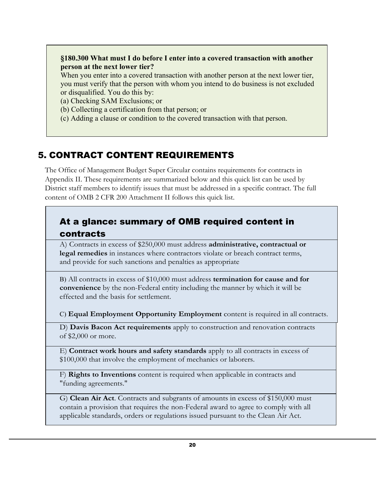## **§180.300 What must I do before I enter into a covered transaction with another person at the next lower tier?**

When you enter into a covered transaction with another person at the next lower tier, you must verify that the person with whom you intend to do business is not excluded or disqualified. You do this by:

(a) Checking SAM Exclusions; or

- (b) Collecting a certification from that person; or
- (c) Adding a clause or condition to the covered transaction with that person.

# 5. CONTRACT CONTENT REQUIREMENTS

The Office of Management Budget Super Circular contains requirements for contracts in Appendix II. These requirements are summarized below and this quick list can be used by District staff members to identify issues that must be addressed in a specific contract. The full content of OMB 2 CFR 200 Attachment II follows this quick list.

## At a glance: summary of OMB required content in contracts

A) Contracts in excess of \$250,000 must address **administrative, contractual or legal remedies** in instances where contractors violate or breach contract terms, and provide for such sanctions and penalties as appropriate

B) All contracts in excess of \$10,000 must address **termination for cause and for convenience** by the non-Federal entity including the manner by which it will be effected and the basis for settlement.

C) **Equal Employment Opportunity Employment** content is required in all contracts.

D) **Davis Bacon Act requirements** apply to construction and renovation contracts of \$2,000 or more.

E) **Contract work hours and safety standards** apply to all contracts in excess of \$100,000 that involve the employment of mechanics or laborers.

F) **Rights to Inventions** content is required when applicable in contracts and "funding agreements."

G) **Clean Air Act**. Contracts and subgrants of amounts in excess of \$150,000 must contain a provision that requires the non-Federal award to agree to comply with all applicable standards, orders or regulations issued pursuant to the Clean Air Act.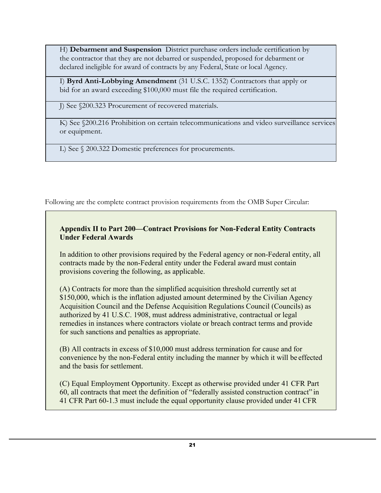H) **Debarment and Suspension** District purchase orders include certification by the contractor that they are not debarred or suspended, proposed for debarment or declared ineligible for award of contracts by any Federal, State or local Agency.

I) **Byrd Anti-Lobbying Amendment** (31 U.S.C. 1352) Contractors that apply or bid for an award exceeding \$100,000 must file the required certification.

J) See §200.323 Procurement of recovered materials.

K) See §200.216 Prohibition on certain telecommunications and video surveillance services or equipment.

L) See § 200.322 Domestic preferences for procurements.

Following are the complete contract provision requirements from the OMB Super Circular:

## **Appendix II to Part 200—Contract Provisions for Non-Federal Entity Contracts Under Federal Awards**

In addition to other provisions required by the Federal agency or non-Federal entity, all contracts made by the non-Federal entity under the Federal award must contain provisions covering the following, as applicable.

(A) Contracts for more than the simplified acquisition threshold currently set at \$150,000, which is the inflation adjusted amount determined by the Civilian Agency Acquisition Council and the Defense Acquisition Regulations Council (Councils) as authorized by 41 U.S.C. 1908, must address administrative, contractual or legal remedies in instances where contractors violate or breach contract terms and provide for such sanctions and penalties as appropriate.

(B) All contracts in excess of \$10,000 must address termination for cause and for convenience by the non-Federal entity including the manner by which it will be effected and the basis for settlement.

(C) Equal Employment Opportunity. Except as otherwise provided under 41 CFR Part 60, all contracts that meet the definition of "federally assisted construction contract" in 41 CFR Part 60-1.3 must include the equal opportunity clause provided under 41 CFR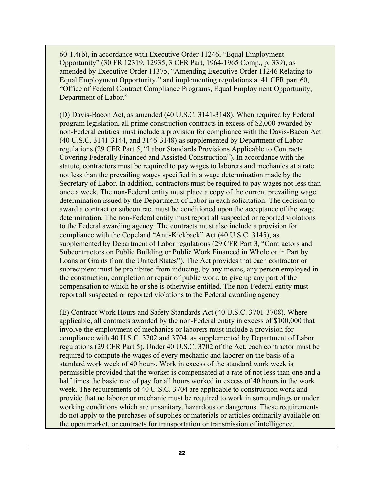60-1.4(b), in accordance with Executive Order 11246, "Equal Employment Opportunity" (30 FR 12319, 12935, 3 CFR Part, 1964-1965 Comp., p. 339), as amended by Executive Order 11375, "Amending Executive Order 11246 Relating to Equal Employment Opportunity," and implementing regulations at 41 CFR part 60, "Office of Federal Contract Compliance Programs, Equal Employment Opportunity, Department of Labor."

(D) Davis-Bacon Act, as amended (40 U.S.C. 3141-3148). When required by Federal program legislation, all prime construction contracts in excess of \$2,000 awarded by non-Federal entities must include a provision for compliance with the Davis-Bacon Act (40 U.S.C. 3141-3144, and 3146-3148) as supplemented by Department of Labor regulations (29 CFR Part 5, "Labor Standards Provisions Applicable to Contracts Covering Federally Financed and Assisted Construction"). In accordance with the statute, contractors must be required to pay wages to laborers and mechanics at a rate not less than the prevailing wages specified in a wage determination made by the Secretary of Labor. In addition, contractors must be required to pay wages not less than once a week. The non-Federal entity must place a copy of the current prevailing wage determination issued by the Department of Labor in each solicitation. The decision to award a contract or subcontract must be conditioned upon the acceptance of the wage determination. The non-Federal entity must report all suspected or reported violations to the Federal awarding agency. The contracts must also include a provision for compliance with the Copeland "Anti-Kickback" Act (40 U.S.C. 3145), as supplemented by Department of Labor regulations (29 CFR Part 3, "Contractors and Subcontractors on Public Building or Public Work Financed in Whole or in Part by Loans or Grants from the United States"). The Act provides that each contractor or subrecipient must be prohibited from inducing, by any means, any person employed in the construction, completion or repair of public work, to give up any part of the compensation to which he or she is otherwise entitled. The non-Federal entity must report all suspected or reported violations to the Federal awarding agency.

(E) Contract Work Hours and Safety Standards Act (40 U.S.C. 3701-3708). Where applicable, all contracts awarded by the non-Federal entity in excess of \$100,000 that involve the employment of mechanics or laborers must include a provision for compliance with 40 U.S.C. 3702 and 3704, as supplemented by Department of Labor regulations (29 CFR Part 5). Under 40 U.S.C. 3702 of the Act, each contractor must be required to compute the wages of every mechanic and laborer on the basis of a standard work week of 40 hours. Work in excess of the standard work week is permissible provided that the worker is compensated at a rate of not less than one and a half times the basic rate of pay for all hours worked in excess of 40 hours in the work week. The requirements of 40 U.S.C. 3704 are applicable to construction work and provide that no laborer or mechanic must be required to work in surroundings or under working conditions which are unsanitary, hazardous or dangerous. These requirements do not apply to the purchases of supplies or materials or articles ordinarily available on the open market, or contracts for transportation or transmission of intelligence.